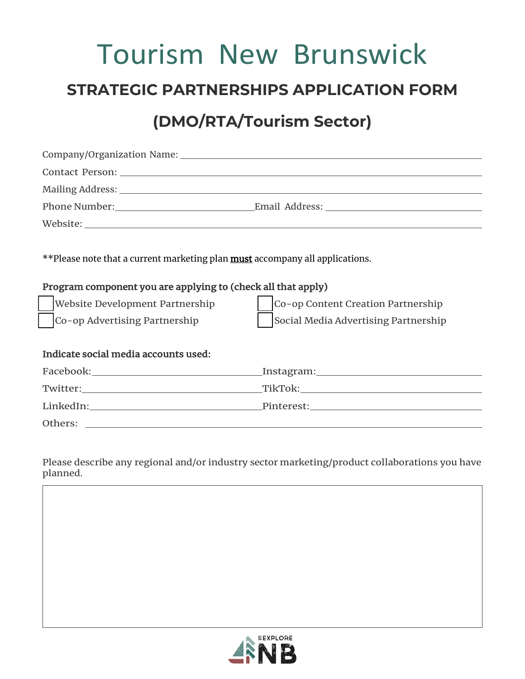# Tourism New Brunswick

### **STRATEGIC PARTNERSHIPS APPLICATION FORM**

## **(DMO/RTA/Tourism Sector)**

| **Please note that a current marketing plan <b>must</b> accompany all applications.<br>Program component you are applying to (check all that apply)<br>Website Development Partnership<br>Co-op Content Creation Partnership<br>Co-op Advertising Partnership<br>Social Media Advertising Partnership |  |
|-------------------------------------------------------------------------------------------------------------------------------------------------------------------------------------------------------------------------------------------------------------------------------------------------------|--|
| Indicate social media accounts used:                                                                                                                                                                                                                                                                  |  |
|                                                                                                                                                                                                                                                                                                       |  |
|                                                                                                                                                                                                                                                                                                       |  |
|                                                                                                                                                                                                                                                                                                       |  |
| Others:<br><u> 1989 - Andrea Stadt Britain, amerikansk politik (d. 1989)</u>                                                                                                                                                                                                                          |  |

Please describe any regional and/or industry sector marketing/product collaborations you have planned.

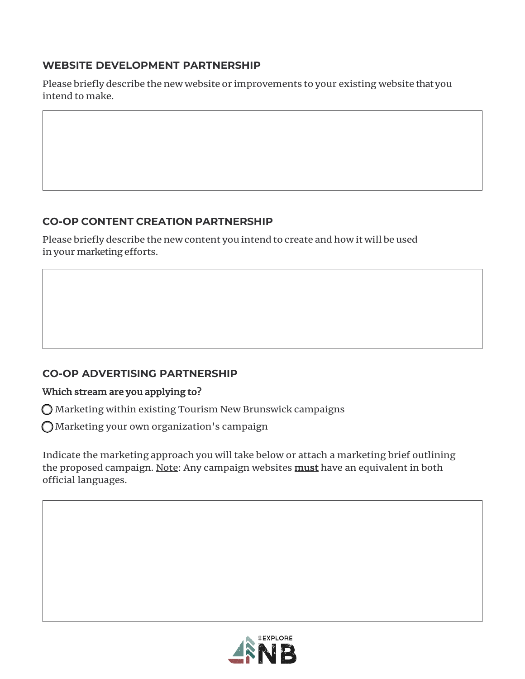#### **WEBSITE DEVELOPMENT PARTNERSHIP**

Please briefly describe the new website or improvements to your existing website that you intend to make.

#### **CO-OP CONTENT CREATION PARTNERSHIP**

Please briefly describe the new content you intend to create and how it will be used in your marketing efforts.

#### **CO-OP ADVERTISING PARTNERSHIP**

#### Which stream are you applying to?

 $\bigcirc$  Marketing within existing Tourism New Brunswick campaigns

 $\bigcap$  Marketing your own organization's campaign

Indicate the marketing approach you will take below or attach a marketing brief outlining the proposed campaign. Note: Any campaign websites **must** have an equivalent in both official languages.